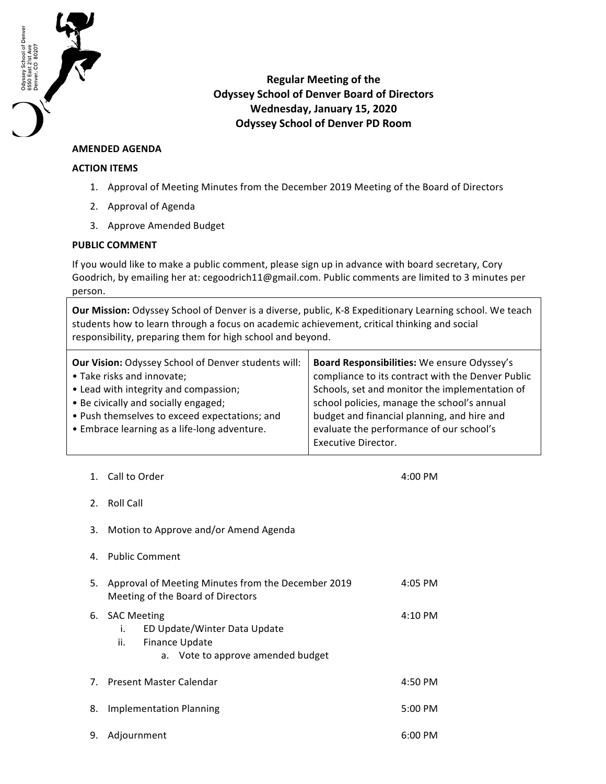

**Regular Meeting of the Odyssey School of Denver Board of Directors** Wednesday, January 15, 2020 **Odyssey School of Denver PD Room**

## **AMENDED AGENDA**

## **ACTION ITEMS**

- 1. Approval of Meeting Minutes from the December 2019 Meeting of the Board of Directors
- 2. Approval of Agenda
- 3. Approve Amended Budget

## **PUBLIC COMMENT**

If you would like to make a public comment, please sign up in advance with board secretary, Cory Goodrich, by emailing her at: cegoodrich11@gmail.com. Public comments are limited to 3 minutes per person.

**Our Mission:** Odyssey School of Denver is a diverse, public, K-8 Expeditionary Learning school. We teach students how to learn through a focus on academic achievement, critical thinking and social responsibility, preparing them for high school and beyond.

| <b>Our Vision: Odyssey School of Denver students will:</b> | Board Responsibilities: We ensure Odyssey's       |  |
|------------------------------------------------------------|---------------------------------------------------|--|
| • Take risks and innovate;                                 | compliance to its contract with the Denver Public |  |
| • Lead with integrity and compassion;                      | Schools, set and monitor the implementation of    |  |
| • Be civically and socially engaged;                       | school policies, manage the school's annual       |  |
| • Push themselves to exceed expectations; and              | budget and financial planning, and hire and       |  |
| • Embrace learning as a life-long adventure.               | evaluate the performance of our school's          |  |
|                                                            | <b>Executive Director.</b>                        |  |

|    | 1. Call to Order                                                                                                              | 4:00 PM |
|----|-------------------------------------------------------------------------------------------------------------------------------|---------|
| 2. | Roll Call                                                                                                                     |         |
| 3. | Motion to Approve and/or Amend Agenda                                                                                         |         |
| 4. | <b>Public Comment</b>                                                                                                         |         |
| 5. | Approval of Meeting Minutes from the December 2019<br>Meeting of the Board of Directors                                       | 4:05 PM |
| 6. | <b>SAC Meeting</b><br>ED Update/Winter Data Update<br>i.<br><b>Finance Update</b><br>ii.<br>a. Vote to approve amended budget | 4:10 PM |
| 7. | Present Master Calendar                                                                                                       | 4:50 PM |
| 8. | <b>Implementation Planning</b>                                                                                                | 5:00 PM |
| 9. | Adjournment                                                                                                                   | 6:00 PM |